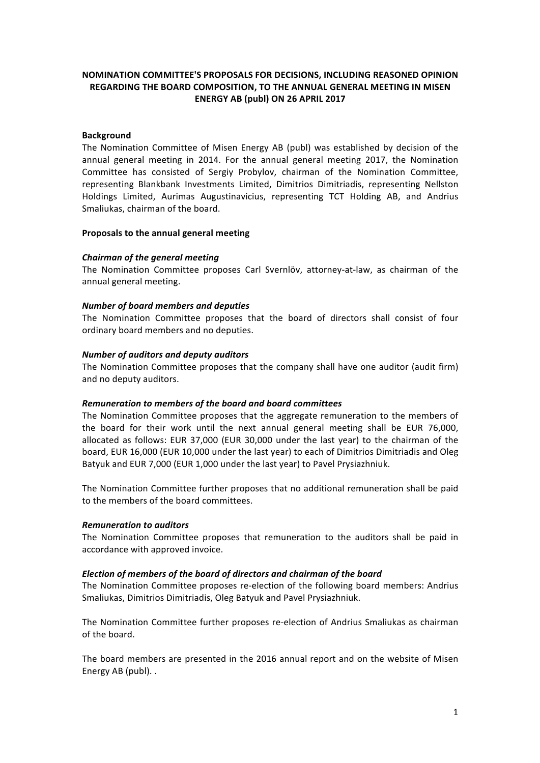# **NOMINATION COMMITTEE'S PROPOSALS FOR DECISIONS, INCLUDING REASONED OPINION REGARDING THE BOARD COMPOSITION, TO THE ANNUAL GENERAL MEETING IN MISEN ENERGY AB (publ) ON 26 APRIL 2017**

## **Background**

The Nomination Committee of Misen Energy AB (publ) was established by decision of the annual general meeting in 2014. For the annual general meeting 2017, the Nomination Committee has consisted of Sergiy Probylov, chairman of the Nomination Committee, representing Blankbank Investments Limited, Dimitrios Dimitriadis, representing Nellston Holdings Limited, Aurimas Augustinavicius, representing TCT Holding AB, and Andrius Smaliukas, chairman of the board.

## **Proposals to the annual general meeting**

## *Chairman of the general meeting*

The Nomination Committee proposes Carl Svernlöv, attorney-at-law, as chairman of the annual general meeting.

## **Number of board members and deputies**

The Nomination Committee proposes that the board of directors shall consist of four ordinary board members and no deputies.

## *Number of auditors and deputy auditors*

The Nomination Committee proposes that the company shall have one auditor (audit firm) and no deputy auditors.

### *Remuneration to members of the board and board committees*

The Nomination Committee proposes that the aggregate remuneration to the members of the board for their work until the next annual general meeting shall be EUR 76,000, allocated as follows: EUR 37,000 (EUR 30,000 under the last year) to the chairman of the board, EUR 16,000 (EUR 10,000 under the last year) to each of Dimitrios Dimitriadis and Oleg Batyuk and EUR 7,000 (EUR 1,000 under the last year) to Pavel Prysiazhniuk.

The Nomination Committee further proposes that no additional remuneration shall be paid to the members of the board committees.

### *Remuneration to auditors*

The Nomination Committee proposes that remuneration to the auditors shall be paid in accordance with approved invoice.

## *Election of members of the board of directors and chairman of the board*

The Nomination Committee proposes re-election of the following board members: Andrius Smaliukas, Dimitrios Dimitriadis, Oleg Batyuk and Pavel Prysiazhniuk.

The Nomination Committee further proposes re-election of Andrius Smaliukas as chairman of the board.

The board members are presented in the 2016 annual report and on the website of Misen Energy AB (publ). .